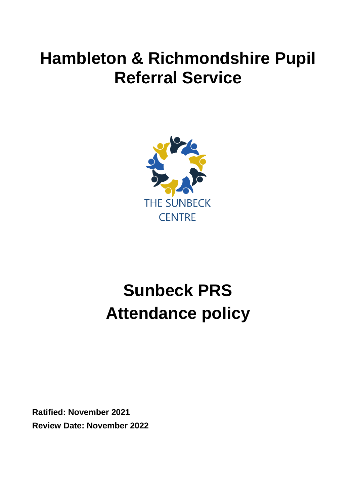## **Hambleton & Richmondshire Pupil Referral Service**



# **Sunbeck PRS Attendance policy**

**Ratified: November 2021 Review Date: November 2022**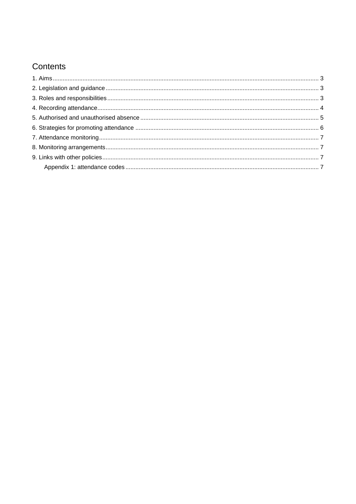## Contents

<span id="page-1-0"></span>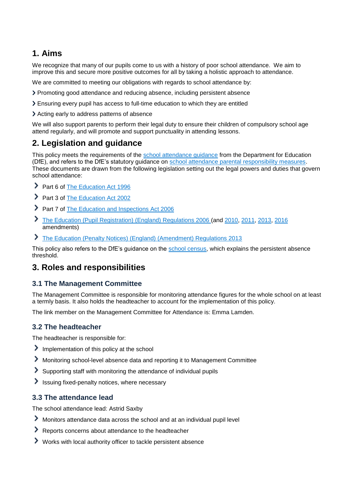## **1. Aims**

We recognize that many of our pupils come to us with a history of poor school attendance. We aim to improve this and secure more positive outcomes for all by taking a holistic approach to attendance.

We are committed to meeting our obligations with regards to school attendance by:

- Promoting good attendance and reducing absence, including persistent absence
- Ensuring every pupil has access to full-time education to which they are entitled
- Acting early to address patterns of absence

We will also support parents to perform their legal duty to ensure their children of compulsory school age attend regularly, and will promote and support punctuality in attending lessons.

## <span id="page-2-0"></span>**2. Legislation and guidance**

This policy meets the requirements of the school attendance quidance from the Department for Education (DfE), and refers to the DfE's statutory guidance on [school attendance parental responsibility measures.](https://www.gov.uk/government/publications/parental-responsibility-measures-for-behaviour-and-attendance) These documents are drawn from the following legislation setting out the legal powers and duties that govern school attendance:

- Part 6 of [The Education Act 1996](https://www.legislation.gov.uk/ukpga/1996/56/part/VI/chapter/II)
- Part 3 of [The Education Act 2002](http://www.legislation.gov.uk/ukpga/2002/32/part/3/chapter/3)
- Part 7 of [The Education and Inspections Act 2006](http://www.legislation.gov.uk/ukpga/2006/40/part/7/chapter/2/crossheading/school-attendance)
- [The Education \(Pupil Registration\) \(England\) Regulations 2006](http://www.legislation.gov.uk/uksi/2006/1751/contents/made) (and [2010,](https://www.legislation.gov.uk/uksi/2010/1725/regulation/2/made) [2011,](https://www.legislation.gov.uk/uksi/2011/1625/made) [2013,](https://www.legislation.gov.uk/uksi/2013/756/made) [2016](https://www.legislation.gov.uk/uksi/2016/792/made/data.html) amendments)
- [The Education \(Penalty Notices\) \(England\) \(Amendment\) Regulations 2013](https://www.legislation.gov.uk/uksi/2013/757/regulation/2/made)

This policy also refers to the DfE's guidance on the [school census,](https://www.gov.uk/guidance/complete-the-school-census) which explains the persistent absence threshold.

## <span id="page-2-1"></span>**3. Roles and responsibilities**

#### **3.1 The Management Committee**

The Management Committee is responsible for monitoring attendance figures for the whole school on at least a termly basis. It also holds the headteacher to account for the implementation of this policy.

The link member on the Management Committee for Attendance is: Emma Lamden.

#### **3.2 The headteacher**

The headteacher is responsible for:

- Implementation of this policy at the school
- Monitoring school-level absence data and reporting it to Management Committee
- Supporting staff with monitoring the attendance of individual pupils
- $\blacktriangleright$  Issuing fixed-penalty notices, where necessary

#### **3.3 The attendance lead**

The school attendance lead: Astrid Saxby

- Monitors attendance data across the school and at an individual pupil level
- Reports concerns about attendance to the headteacher
- Works with local authority officer to tackle persistent absence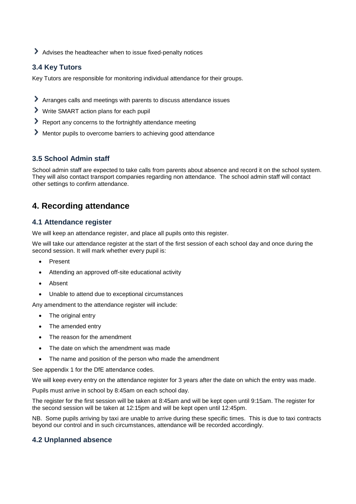Advises the headteacher when to issue fixed-penalty notices

#### **3.4 Key Tutors**

Key Tutors are responsible for monitoring individual attendance for their groups.

- Arranges calls and meetings with parents to discuss attendance issues
- Write SMART action plans for each pupil
- Report any concerns to the fortnightly attendance meeting
- Mentor pupils to overcome barriers to achieving good attendance

#### **3.5 School Admin staff**

School admin staff are expected to take calls from parents about absence and record it on the school system. They will also contact transport companies regarding non attendance. The school admin staff will contact other settings to confirm attendance.

## <span id="page-3-0"></span>**4. Recording attendance**

#### **4.1 Attendance register**

We will keep an attendance register, and place all pupils onto this register.

We will take our attendance register at the start of the first session of each school day and once during the second session. It will mark whether every pupil is:

- Present
- Attending an approved off-site educational activity
- Absent
- Unable to attend due to exceptional circumstances

Any amendment to the attendance register will include:

- The original entry
- The amended entry
- The reason for the amendment
- The date on which the amendment was made
- The name and position of the person who made the amendment

See appendix 1 for the DfE attendance codes.

We will keep every entry on the attendance register for 3 years after the date on which the entry was made.

Pupils must arrive in school by 8:45am on each school day.

The register for the first session will be taken at 8:45am and will be kept open until 9:15am. The register for the second session will be taken at 12:15pm and will be kept open until 12:45pm.

NB. Some pupils arriving by taxi are unable to arrive during these specific times. This is due to taxi contracts beyond our control and in such circumstances, attendance will be recorded accordingly.

#### **4.2 Unplanned absence**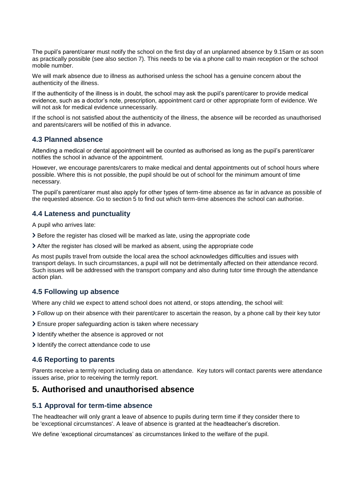The pupil's parent/carer must notify the school on the first day of an unplanned absence by 9.15am or as soon as practically possible (see also section 7). This needs to be via a phone call to main reception or the school mobile number.

We will mark absence due to illness as authorised unless the school has a genuine concern about the authenticity of the illness.

If the authenticity of the illness is in doubt, the school may ask the pupil's parent/carer to provide medical evidence, such as a doctor's note, prescription, appointment card or other appropriate form of evidence. We will not ask for medical evidence unnecessarily.

If the school is not satisfied about the authenticity of the illness, the absence will be recorded as unauthorised and parents/carers will be notified of this in advance.

#### **4.3 Planned absence**

Attending a medical or dental appointment will be counted as authorised as long as the pupil's parent/carer notifies the school in advance of the appointment.

However, we encourage parents/carers to make medical and dental appointments out of school hours where possible. Where this is not possible, the pupil should be out of school for the minimum amount of time necessary.

The pupil's parent/carer must also apply for other types of term-time absence as far in advance as possible of the requested absence. Go to section 5 to find out which term-time absences the school can authorise.

#### **4.4 Lateness and punctuality**

A pupil who arrives late:

- $\geq$  Before the register has closed will be marked as late, using the appropriate code
- After the register has closed will be marked as absent, using the appropriate code

As most pupils travel from outside the local area the school acknowledges difficulties and issues with transport delays. In such circumstances, a pupil will not be detrimentally affected on their attendance record. Such issues will be addressed with the transport company and also during tutor time through the attendance action plan.

#### **4.5 Following up absence**

Where any child we expect to attend school does not attend, or stops attending, the school will:

- Follow up on their absence with their parent/carer to ascertain the reason, by a phone call by their key tutor
- Ensure proper safeguarding action is taken where necessary
- Identify whether the absence is approved or not
- I dentify the correct attendance code to use

#### **4.6 Reporting to parents**

Parents receive a termly report including data on attendance. Key tutors will contact parents were attendance issues arise, prior to receiving the termly report.

## <span id="page-4-0"></span>**5. Authorised and unauthorised absence**

#### **5.1 Approval for term-time absence**

The headteacher will only grant a leave of absence to pupils during term time if they consider there to be 'exceptional circumstances'. A leave of absence is granted at the headteacher's discretion.

We define 'exceptional circumstances' as circumstances linked to the welfare of the pupil.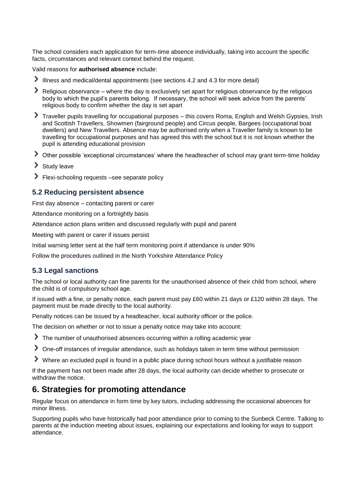The school considers each application for term-time absence individually, taking into account the specific facts, circumstances and relevant context behind the request.

Valid reasons for **authorised absence** include:

- Illness and medical/dental appointments (see sections 4.2 and 4.3 for more detail)
- Religious observance where the day is exclusively set apart for religious observance by the religious body to which the pupil's parents belong. If necessary, the school will seek advice from the parents' religious body to confirm whether the day is set apart
- Traveller pupils travelling for occupational purposes this covers Roma, English and Welsh Gypsies, Irish and Scottish Travellers, Showmen (fairground people) and Circus people, Bargees (occupational boat dwellers) and New Travellers. Absence may be authorised only when a Traveller family is known to be travelling for occupational purposes and has agreed this with the school but it is not known whether the pupil is attending educational provision
- Other possible 'exceptional circumstances' where the headteacher of school may grant term-time holiday
- $\blacktriangleright$  Study leave
- Flexi-schooling requests –see separate policy

#### **5.2 Reducing persistent absence**

First day absence – contacting parent or carer

Attendance monitoring on a fortnightly basis

Attendance action plans written and discussed regularly with pupil and parent

Meeting with parent or carer if issues persist

Initial warning letter sent at the half term monitoring point if attendance is under 90%

Follow the procedures outlined in the North Yorkshire Attendance Policy

#### **5.3 Legal sanctions**

The school or local authority can fine parents for the unauthorised absence of their child from school, where the child is of compulsory school age.

If issued with a fine, or penalty notice, each parent must pay £60 within 21 days or £120 within 28 days. The payment must be made directly to the local authority.

Penalty notices can be issued by a headteacher, local authority officer or the police.

The decision on whether or not to issue a penalty notice may take into account:

- The number of unauthorised absences occurring within a rolling academic year
- One-off instances of irregular attendance, such as holidays taken in term time without permission
- Where an excluded pupil is found in a public place during school hours without a justifiable reason

If the payment has not been made after 28 days, the local authority can decide whether to prosecute or withdraw the notice.

## <span id="page-5-0"></span>**6. Strategies for promoting attendance**

Regular focus on attendance in form time by key tutors, including addressing the occasional absences for minor illness.

Supporting pupils who have historically had poor attendance prior to coming to the Sunbeck Centre. Talking to parents at the induction meeting about issues, explaining our expectations and looking for ways to support attendance.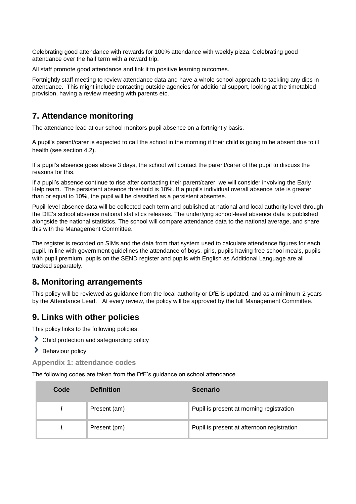Celebrating good attendance with rewards for 100% attendance with weekly pizza. Celebrating good attendance over the half term with a reward trip.

All staff promote good attendance and link it to positive learning outcomes.

Fortnightly staff meeting to review attendance data and have a whole school approach to tackling any dips in attendance. This might include contacting outside agencies for additional support, looking at the timetabled provision, having a review meeting with parents etc.

## <span id="page-6-0"></span>**7. Attendance monitoring**

The attendance lead at our school monitors pupil absence on a fortnightly basis.

A pupil's parent/carer is expected to call the school in the morning if their child is going to be absent due to ill health (see section 4.2).

If a pupil's absence goes above 3 days, the school will contact the parent/carer of the pupil to discuss the reasons for this.

If a pupil's absence continue to rise after contacting their parent/carer, we will consider involving the Early Help team. The persistent absence threshold is 10%. If a pupil's individual overall absence rate is greater than or equal to 10%, the pupil will be classified as a persistent absentee.

Pupil-level absence data will be collected each term and published at national and local authority level through the DfE's school absence national statistics releases. The underlying school-level absence data is published alongside the national statistics. The school will compare attendance data to the national average, and share this with the Management Committee.

The register is recorded on SIMs and the data from that system used to calculate attendance figures for each pupil. In line with government guidelines the attendance of boys, girls, pupils having free school meals, pupils with pupil premium, pupils on the SEND register and pupils with English as Additional Language are all tracked separately.

### <span id="page-6-1"></span>**8. Monitoring arrangements**

This policy will be reviewed as guidance from the local authority or DfE is updated, and as a minimum 2 years by the Attendance Lead. At every review, the policy will be approved by the full Management Committee.

## <span id="page-6-2"></span>**9. Links with other policies**

This policy links to the following policies:

- Child protection and safeguarding policy
- $\blacktriangleright$  Behaviour policy

<span id="page-6-3"></span>**Appendix 1: attendance codes** 

The following codes are taken from the DfE's guidance on school attendance.

| Code | <b>Definition</b> | <b>Scenario</b>                            |
|------|-------------------|--------------------------------------------|
|      | Present (am)      | Pupil is present at morning registration   |
|      | Present (pm)      | Pupil is present at afternoon registration |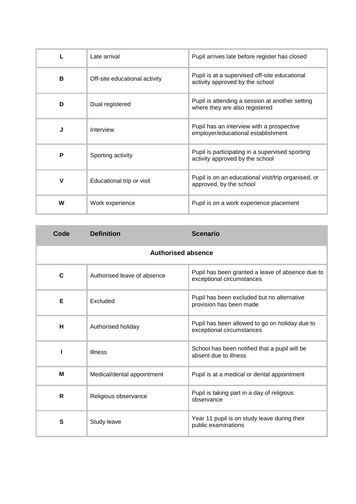|   | Late arrival                  | Pupil arrives late before register has closed                                      |
|---|-------------------------------|------------------------------------------------------------------------------------|
| B | Off-site educational activity | Pupil is at a supervised off-site educational<br>activity approved by the school   |
| D | Dual registered               | Pupil is attending a session at another setting<br>where they are also registered  |
| J | Interview                     | Pupil has an interview with a prospective<br>employer/educational establishment    |
| P | Sporting activity             | Pupil is participating in a supervised sporting<br>activity approved by the school |
| v | Educational trip or visit     | Pupil is on an educational visit/trip organised, or<br>approved, by the school     |
| W | Work experience               | Pupil is on a work experience placement                                            |

**College** 

| Code                      | <b>Definition</b>           | <b>Scenario</b>                                                               |  |
|---------------------------|-----------------------------|-------------------------------------------------------------------------------|--|
| <b>Authorised absence</b> |                             |                                                                               |  |
| $\mathbf C$               | Authorised leave of absence | Pupil has been granted a leave of absence due to<br>exceptional circumstances |  |
| Е                         | Excluded                    | Pupil has been excluded but no alternative<br>provision has been made         |  |
| Н                         | Authorised holiday          | Pupil has been allowed to go on holiday due to<br>exceptional circumstances   |  |
|                           | <b>Illness</b>              | School has been notified that a pupil will be<br>absent due to illness        |  |
| M                         | Medical/dental appointment  | Pupil is at a medical or dental appointment                                   |  |
| R                         | Religious observance        | Pupil is taking part in a day of religious<br>observance                      |  |
| S                         | Study leave                 | Year 11 pupil is on study leave during their<br>public examinations           |  |